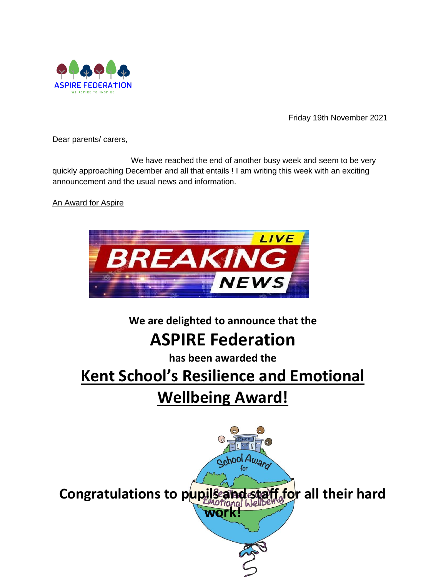

Friday 19th November 2021

Dear parents/ carers,

We have reached the end of another busy week and seem to be very quickly approaching December and all that entails ! I am writing this week with an exciting announcement and the usual news and information.

An Award for Aspire



**We are delighted to announce that the** 

## **ASPIRE Federation**

**has been awarded the**

# **Kent School's Resilience and Emotional Wellbeing Award!**

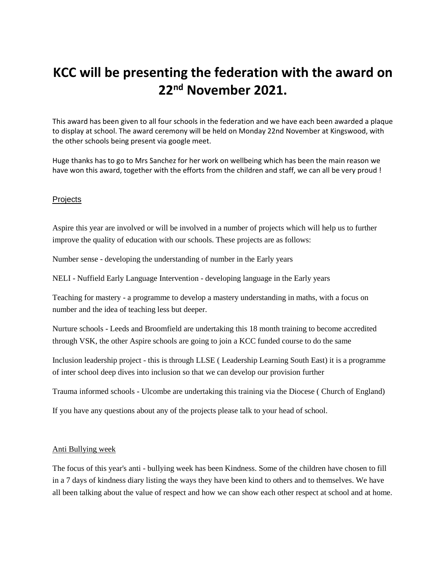### **KCC will be presenting the federation with the award on 22nd November 2021.**

This award has been given to all four schools in the federation and we have each been awarded a plaque to display at school. The award ceremony will be held on Monday 22nd November at Kingswood, with the other schools being present via google meet.

Huge thanks has to go to Mrs Sanchez for her work on wellbeing which has been the main reason we have won this award, together with the efforts from the children and staff, we can all be very proud !

### **Projects**

Aspire this year are involved or will be involved in a number of projects which will help us to further improve the quality of education with our schools. These projects are as follows:

Number sense - developing the understanding of number in the Early years

NELI - Nuffield Early Language Intervention - developing language in the Early years

Teaching for mastery - a programme to develop a mastery understanding in maths, with a focus on number and the idea of teaching less but deeper.

Nurture schools - Leeds and Broomfield are undertaking this 18 month training to become accredited through VSK, the other Aspire schools are going to join a KCC funded course to do the same

Inclusion leadership project - this is through LLSE ( Leadership Learning South East) it is a programme of inter school deep dives into inclusion so that we can develop our provision further

Trauma informed schools - Ulcombe are undertaking this training via the Diocese ( Church of England)

If you have any questions about any of the projects please talk to your head of school.

#### Anti Bullying week

The focus of this year's anti - bullying week has been Kindness. Some of the children have chosen to fill in a 7 days of kindness diary listing the ways they have been kind to others and to themselves. We have all been talking about the value of respect and how we can show each other respect at school and at home.